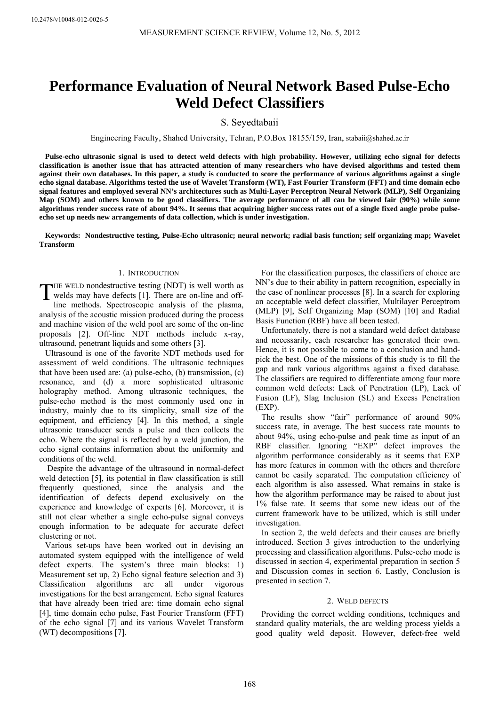# **Performance Evaluation of Neural Network Based Pulse-Echo Weld Defect Classifiers**

S. Seyedtabaii

Engineering Faculty, Shahed University, Tehran, P.O.Box 18155/159, Iran, stabaii@shahed.ac.ir

**Pulse-echo ultrasonic signal is used to detect weld defects with high probability. However, utilizing echo signal for defects classification is another issue that has attracted attention of many researchers who have devised algorithms and tested them against their own databases. In this paper, a study is conducted to score the performance of various algorithms against a single echo signal database. Algorithms tested the use of Wavelet Transform (WT), Fast Fourier Transform (FFT) and time domain echo signal features and employed several NN's architectures such as Multi-Layer Perceptron Neural Network (MLP), Self Organizing Map (SOM) and others known to be good classifiers. The average performance of all can be viewed fair (90%) while some algorithms render success rate of about 94%. It seems that acquiring higher success rates out of a single fixed angle probe pulseecho set up needs new arrangements of data collection, which is under investigation.** 

**Keywords: Nondestructive testing, Pulse-Echo ultrasonic; neural network; radial basis function; self organizing map; Wavelet Transform** 

## 1. INTRODUCTION

THE WELD nondestructive testing (NDT) is well worth as<br>welds may have defects [1]. There are on-line and off-<br>line methods. Spectroscopic enclusie of the plasme welds may have defects [1]. There are on-line and offline methods. Spectroscopic analysis of the plasma, analysis of the acoustic mission produced during the process and machine vision of the weld pool are some of the on-line proposals [2]. Off-line NDT methods include x-ray, ultrasound, penetrant liquids and some others [3].

Ultrasound is one of the favorite NDT methods used for assessment of weld conditions. The ultrasonic techniques that have been used are: (a) pulse-echo, (b) transmission, (c) resonance, and (d) a more sophisticated ultrasonic holography method. Among ultrasonic techniques, the pulse-echo method is the most commonly used one in industry, mainly due to its simplicity, small size of the equipment, and efficiency [4]. In this method, a single ultrasonic transducer sends a pulse and then collects the echo. Where the signal is reflected by a weld junction, the echo signal contains information about the uniformity and conditions of the weld.

Despite the advantage of the ultrasound in normal-defect weld detection [5], its potential in flaw classification is still frequently questioned, since the analysis and the identification of defects depend exclusively on the experience and knowledge of experts [6]. Moreover, it is still not clear whether a single echo-pulse signal conveys enough information to be adequate for accurate defect clustering or not.

Various set-ups have been worked out in devising an automated system equipped with the intelligence of weld defect experts. The system's three main blocks: 1) Measurement set up, 2) Echo signal feature selection and 3) Classification algorithms are all under vigorous investigations for the best arrangement. Echo signal features that have already been tried are: time domain echo signal [4], time domain echo pulse, Fast Fourier Transform (FFT) of the echo signal [7] and its various Wavelet Transform (WT) decompositions [7].

For the classification purposes, the classifiers of choice are NN's due to their ability in pattern recognition, especially in the case of nonlinear processes [8]. In a search for exploring an acceptable weld defect classifier, Multilayer Perceptrom (MLP) [9], Self Organizing Map (SOM) [10] and Radial Basis Function (RBF) have all been tested.

Unfortunately, there is not a standard weld defect database and necessarily, each researcher has generated their own. Hence, it is not possible to come to a conclusion and handpick the best. One of the missions of this study is to fill the gap and rank various algorithms against a fixed database. The classifiers are required to differentiate among four more common weld defects: Lack of Penetration (LP), Lack of Fusion (LF), Slag Inclusion (SL) and Excess Penetration (EXP).

The results show "fair" performance of around 90% success rate, in average. The best success rate mounts to about 94%, using echo-pulse and peak time as input of an RBF classifier. Ignoring "EXP" defect improves the algorithm performance considerably as it seems that EXP has more features in common with the others and therefore cannot be easily separated. The computation efficiency of each algorithm is also assessed. What remains in stake is how the algorithm performance may be raised to about just 1% false rate. It seems that some new ideas out of the current framework have to be utilized, which is still under investigation.

In section 2, the weld defects and their causes are briefly introduced. Section 3 gives introduction to the underlying processing and classification algorithms. Pulse-echo mode is discussed in section 4, experimental preparation in section 5 and Discussion comes in section 6. Lastly, Conclusion is presented in section 7.

## 2. WELD DEFECTS

Providing the correct welding conditions, techniques and standard quality materials, the arc welding process yields a good quality weld deposit. However, defect-free weld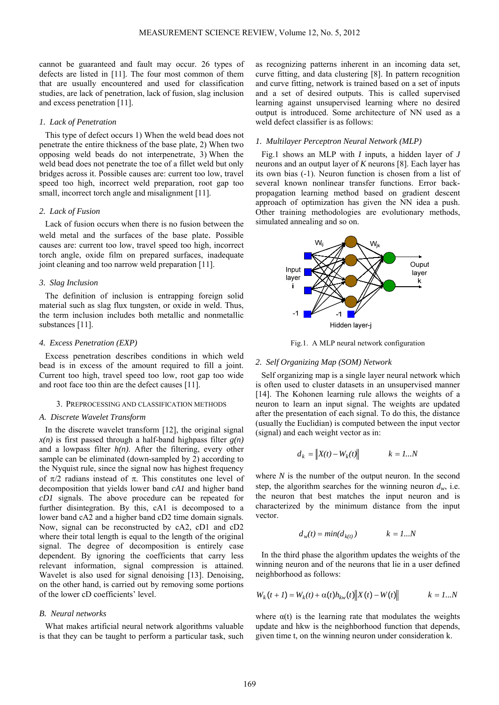cannot be guaranteed and fault may occur. 26 types of defects are listed in [11]. The four most common of them that are usually encountered and used for classification studies, are lack of penetration, lack of fusion, slag inclusion and excess penetration [11].

## *1. Lack of Penetration*

This type of defect occurs 1) When the weld bead does not penetrate the entire thickness of the base plate, 2) When two opposing weld beads do not interpenetrate, 3) When the weld bead does not penetrate the toe of a fillet weld but only bridges across it. Possible causes are: current too low, travel speed too high, incorrect weld preparation, root gap too small, incorrect torch angle and misalignment [11].

## *2. Lack of Fusion*

Lack of fusion occurs when there is no fusion between the weld metal and the surfaces of the base plate. Possible causes are: current too low, travel speed too high, incorrect torch angle, oxide film on prepared surfaces, inadequate joint cleaning and too narrow weld preparation [11].

#### *3. Slag Inclusion*

The definition of inclusion is entrapping foreign solid material such as slag flux tungsten, or oxide in weld. Thus, the term inclusion includes both metallic and nonmetallic substances [11].

## *4. Excess Penetration (EXP)*

Excess penetration describes conditions in which weld bead is in excess of the amount required to fill a joint. Current too high, travel speed too low, root gap too wide and root face too thin are the defect causes [11].

#### 3. PREPROCESSING AND CLASSIFICATION METHODS

## *A. Discrete Wavelet Transform*

In the discrete wavelet transform [12], the original signal  $x(n)$  is first passed through a half-band highpass filter  $g(n)$ and a lowpass filter *h(n)*. After the filtering, every other sample can be eliminated (down-sampled by 2) according to the Nyquist rule, since the signal now has highest frequency of π/2 radians instead of π. This constitutes one level of decomposition that yields lower band *cA1* and higher band *cD1* signals. The above procedure can be repeated for further disintegration. By this, cA1 is decomposed to a lower band cA2 and a higher band cD2 time domain signals. Now, signal can be reconstructed by cA2, cD1 and cD2 where their total length is equal to the length of the original signal. The degree of decomposition is entirely case dependent. By ignoring the coefficients that carry less relevant information, signal compression is attained. Wavelet is also used for signal denoising [13]. Denoising, on the other hand, is carried out by removing some portions of the lower cD coefficients' level.

#### *B. Neural networks*

What makes artificial neural network algorithms valuable is that they can be taught to perform a particular task, such

as recognizing patterns inherent in an incoming data set, curve fitting, and data clustering [8]. In pattern recognition and curve fitting, network is trained based on a set of inputs and a set of desired outputs. This is called supervised learning against unsupervised learning where no desired output is introduced. Some architecture of NN used as a weld defect classifier is as follows:

#### *1. Multilayer Perceptron Neural Network (MLP)*

Fig.1 shows an MLP with *I* inputs, a hidden layer of *J* neurons and an output layer of *K* neurons [8]. Each layer has its own bias (-1). Neuron function is chosen from a list of several known nonlinear transfer functions. Error backpropagation learning method based on gradient descent approach of optimization has given the NN idea a push. Other training methodologies are evolutionary methods, simulated annealing and so on.



Fig.1. A MLP neural network configuration

# *2. Self Organizing Map (SOM) Network*

Self organizing map is a single layer neural network which is often used to cluster datasets in an unsupervised manner [14]. The Kohonen learning rule allows the weights of a neuron to learn an input signal. The weights are updated after the presentation of each signal. To do this, the distance (usually the Euclidian) is computed between the input vector (signal) and each weight vector as in:

$$
d_k = \|X(t) - W_k(t)\| \qquad k = 1...N
$$

where *N* is the number of the output neuron. In the second step, the algorithm searches for the winning neuron  $d_w$ , i.e. the neuron that best matches the input neuron and is characterized by the minimum distance from the input vector.

$$
d_w(t) = min(d_{k(t)}) \qquad k = 1...N
$$

In the third phase the algorithm updates the weights of the winning neuron and of the neurons that lie in a user defined neighborhood as follows:

$$
W_k(t+1) = W_k(t) + \alpha(t)h_{kw}(t) \|X(t) - W(t)\| \qquad k = 1...N
$$

where  $\alpha(t)$  is the learning rate that modulates the weights update and hkw is the neighborhood function that depends, given time t, on the winning neuron under consideration k.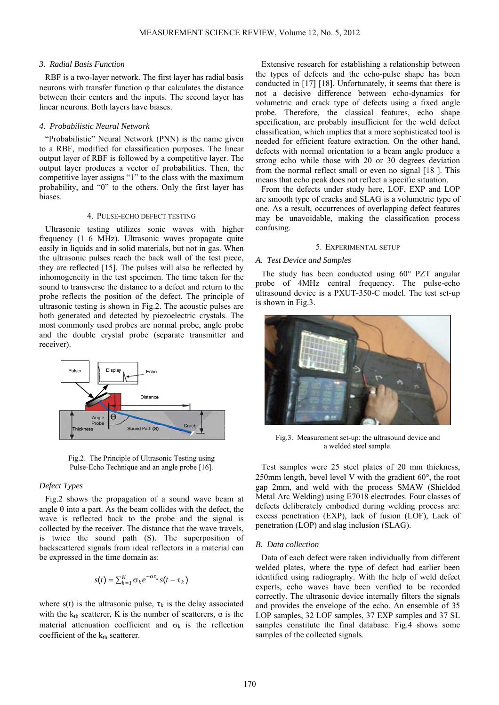#### *3. Radial Basis Function*

RBF is a two-layer network. The first layer has radial basis neurons with transfer function  $\varphi$  that calculates the distance between their centers and the inputs. The second layer has linear neurons. Both layers have biases.

## *4. Probabilistic Neural Network*

"Probabilistic" Neural Network (PNN) is the name given to a RBF, modified for classification purposes. The linear output layer of RBF is followed by a competitive layer. The output layer produces a vector of probabilities. Then, the competitive layer assigns "1" to the class with the maximum probability, and "0" to the others. Only the first layer has biases.

# 4. PULSE-ECHO DEFECT TESTING

Ultrasonic testing utilizes sonic waves with higher frequency (1–6 MHz). Ultrasonic waves propagate quite easily in liquids and in solid materials, but not in gas. When the ultrasonic pulses reach the back wall of the test piece, they are reflected [15]. The pulses will also be reflected by inhomogeneity in the test specimen. The time taken for the sound to transverse the distance to a defect and return to the probe reflects the position of the defect. The principle of ultrasonic testing is shown in Fig.2. The acoustic pulses are both generated and detected by piezoelectric crystals. The most commonly used probes are normal probe, angle probe and the double crystal probe (separate transmitter and receiver).



Fig.2. The Principle of Ultrasonic Testing using Pulse-Echo Technique and an angle probe [16].

#### *Defect Types*

Fig.2 shows the propagation of a sound wave beam at angle  $\theta$  into a part. As the beam collides with the defect, the wave is reflected back to the probe and the signal is collected by the receiver. The distance that the wave travels, is twice the sound path (S). The superposition of backscattered signals from ideal reflectors in a material can be expressed in the time domain as:

$$
s(t) = \sum_{k=1}^{K} \sigma_k e^{-\alpha \tau_k} s(t - \tau_k)
$$

where s(t) is the ultrasonic pulse,  $\tau_k$  is the delay associated with the  $k_{th}$  scatterer, K is the number of scatterers,  $\alpha$  is the material attenuation coefficient and  $\sigma_k$  is the reflection coefficient of the  $k_{th}$  scatterer.

Extensive research for establishing a relationship between the types of defects and the echo-pulse shape has been conducted in [17] [18]. Unfortunately, it seems that there is not a decisive difference between echo-dynamics for volumetric and crack type of defects using a fixed angle probe. Therefore, the classical features, echo shape specification, are probably insufficient for the weld defect classification, which implies that a more sophisticated tool is needed for efficient feature extraction. On the other hand, defects with normal orientation to a beam angle produce a strong echo while those with 20 or 30 degrees deviation from the normal reflect small or even no signal [18 ]. This means that echo peak does not reflect a specific situation.

From the defects under study here, LOF, EXP and LOP are smooth type of cracks and SLAG is a volumetric type of one. As a result, occurrences of overlapping defect features may be unavoidable, making the classification process confusing.

#### 5. EXPERIMENTAL SETUP

## *A. Test Device and Samples*

The study has been conducted using 60° PZT angular probe of 4MHz central frequency. The pulse-echo ultrasound device is a PXUT-350-C model. The test set-up is shown in Fig.3.



Fig.3. Measurement set-up: the ultrasound device and a welded steel sample.

Test samples were 25 steel plates of 20 mm thickness, 250mm length, bevel level V with the gradient 60°, the root gap 2mm, and weld with the process SMAW (Shielded Metal Arc Welding) using E7018 electrodes. Four classes of defects deliberately embodied during welding process are: excess penetration (EXP), lack of fusion (LOF), Lack of penetration (LOP) and slag inclusion (SLAG).

## *B. Data collection*

Data of each defect were taken individually from different welded plates, where the type of defect had earlier been identified using radiography. With the help of weld defect experts, echo waves have been verified to be recorded correctly. The ultrasonic device internally filters the signals and provides the envelope of the echo. An ensemble of 35 LOP samples, 32 LOF samples, 37 EXP samples and 37 SL samples constitute the final database. Fig.4 shows some samples of the collected signals.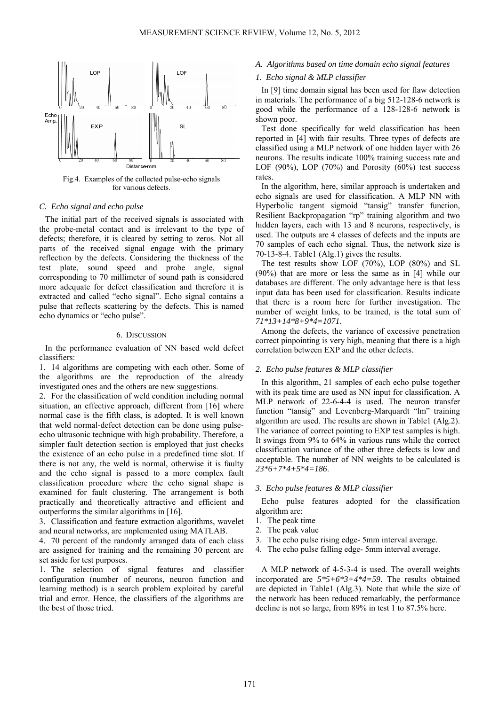

Fig.4. Examples of the collected pulse-echo signals for various defects.

## *C. Echo signal and echo pulse*

The initial part of the received signals is associated with the probe-metal contact and is irrelevant to the type of defects; therefore, it is cleared by setting to zeros. Not all parts of the received signal engage with the primary reflection by the defects. Considering the thickness of the test plate, sound speed and probe angle, signal corresponding to 70 millimeter of sound path is considered more adequate for defect classification and therefore it is extracted and called "echo signal". Echo signal contains a pulse that reflects scattering by the defects. This is named echo dynamics or "echo pulse".

## 6. DISCUSSION

In the performance evaluation of NN based weld defect classifiers:

1. 14 algorithms are competing with each other. Some of the algorithms are the reproduction of the already investigated ones and the others are new suggestions.

2. For the classification of weld condition including normal situation, an effective approach, different from [16] where normal case is the fifth class, is adopted. It is well known that weld normal-defect detection can be done using pulseecho ultrasonic technique with high probability. Therefore, a simpler fault detection section is employed that just checks the existence of an echo pulse in a predefined time slot. If there is not any, the weld is normal, otherwise it is faulty and the echo signal is passed to a more complex fault classification procedure where the echo signal shape is examined for fault clustering. The arrangement is both practically and theoretically attractive and efficient and outperforms the similar algorithms in [16].

3. Classification and feature extraction algorithms, wavelet and neural networks, are implemented using MATLAB.

4. 70 percent of the randomly arranged data of each class are assigned for training and the remaining 30 percent are set aside for test purposes.

1. The selection of signal features and classifier configuration (number of neurons, neuron function and learning method) is a search problem exploited by careful trial and error. Hence, the classifiers of the algorithms are the best of those tried.

# *A. Algorithms based on time domain echo signal features*

# *1. Echo signal & MLP classifier*

In [9] time domain signal has been used for flaw detection in materials. The performance of a big 512-128-6 network is good while the performance of a 128-128-6 network is shown poor.

Test done specifically for weld classification has been reported in [4] with fair results. Three types of defects are classified using a MLP network of one hidden layer with 26 neurons. The results indicate 100% training success rate and LOF  $(90\%)$ , LOP  $(70\%)$  and Porosity  $(60\%)$  test success rates.

In the algorithm, here, similar approach is undertaken and echo signals are used for classification. A MLP NN with Hyperbolic tangent sigmoid "tansig" transfer function, Resilient Backpropagation "rp" training algorithm and two hidden layers, each with 13 and 8 neurons, respectively, is used. The outputs are 4 classes of defects and the inputs are 70 samples of each echo signal. Thus, the network size is 70-13-8-4. Table1 (Alg.1) gives the results.

The test results show LOF (70%), LOP (80%) and SL (90%) that are more or less the same as in [4] while our databases are different. The only advantage here is that less input data has been used for classification. Results indicate that there is a room here for further investigation. The number of weight links, to be trained, is the total sum of *71\*13+14\*8+9\*4=1071*.

Among the defects, the variance of excessive penetration correct pinpointing is very high, meaning that there is a high correlation between EXP and the other defects.

## *2. Echo pulse features & MLP classifier*

In this algorithm, 21 samples of each echo pulse together with its peak time are used as NN input for classification. A MLP network of 22-6-4-4 is used. The neuron transfer function "tansig" and Levenberg-Marquardt "lm" training algorithm are used. The results are shown in Table1 (Alg.2). The variance of correct pointing to EXP test samples is high. It swings from 9% to 64% in various runs while the correct classification variance of the other three defects is low and acceptable. The number of NN weights to be calculated is *23\*6+7\*4+5\*4=186*.

## *3. Echo pulse features & MLP classifier*

Echo pulse features adopted for the classification algorithm are:

- 1. The peak time
- 2. The peak value
- 3. The echo pulse rising edge- 5mm interval average.
- 4. The echo pulse falling edge- 5mm interval average.

A MLP network of 4-5-3-4 is used. The overall weights incorporated are *5\*5+6\*3+4\*4=59*. The results obtained are depicted in Table1 (Alg.3). Note that while the size of the network has been reduced remarkably, the performance decline is not so large, from 89% in test 1 to 87.5% here.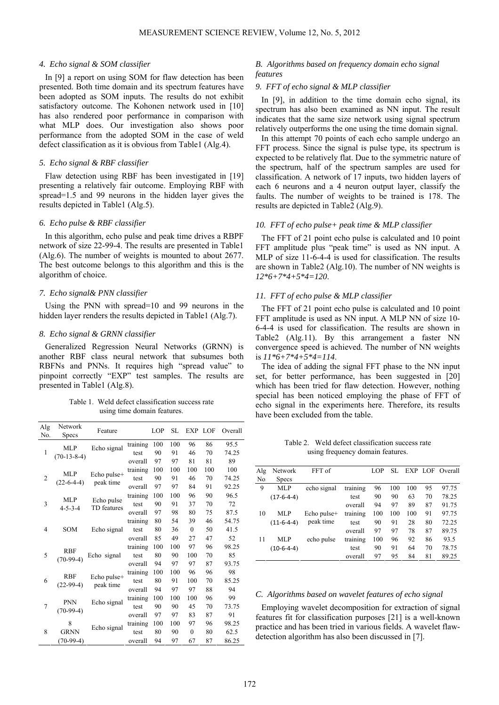## *4. Echo signal & SOM classifier*

In [9] a report on using SOM for flaw detection has been presented. Both time domain and its spectrum features have been adopted as SOM inputs. The results do not exhibit satisfactory outcome. The Kohonen network used in [10] has also rendered poor performance in comparison with what MLP does. Our investigation also shows poor performance from the adopted SOM in the case of weld defect classification as it is obvious from Table1 (Alg.4).

# *5. Echo signal & RBF classifier*

Flaw detection using RBF has been investigated in [19] presenting a relatively fair outcome. Employing RBF with spread=1.5 and 99 neurons in the hidden layer gives the results depicted in Table1 (Alg.5).

## *6. Echo pulse & RBF classifier*

In this algorithm, echo pulse and peak time drives a RBPF network of size 22-99-4. The results are presented in Table1 (Alg.6). The number of weights is mounted to about 2677. The best outcome belongs to this algorithm and this is the algorithm of choice.

# *7. Echo signal& PNN classifier*

Using the PNN with spread=10 and 99 neurons in the hidden layer renders the results depicted in Table1 (Alg.7).

# *8. Echo signal & GRNN classifier*

Generalized Regression Neural Networks (GRNN) is another RBF class neural network that subsumes both RBFNs and PNNs. It requires high "spread value" to pinpoint correctly "EXP" test samples. The results are presented in Table1 (Alg.8).

Table 1. Weld defect classification success rate using time domain features.

| Alg<br>No.     | Network<br>Specs            | Feature                   |          | <b>LOP</b> | SL  | EXP          | LOF | Overall |
|----------------|-----------------------------|---------------------------|----------|------------|-----|--------------|-----|---------|
| 1              | <b>MLP</b><br>$(70-13-8-4)$ | Echo signal               | training | 100        | 100 | 96           | 86  | 95.5    |
|                |                             |                           | test     | 90         | 91  | 46           | 70  | 74.25   |
|                |                             |                           | overall  | 97         | 97  | 81           | 81  | 89      |
| $\overline{2}$ | <b>MLP</b><br>$(22-6-4-4)$  | Echo pulse+<br>peak time  | training | 100        | 100 | 100          | 100 | 100     |
|                |                             |                           | test     | 90         | 91  | 46           | 70  | 74.25   |
|                |                             |                           | overall  | 97         | 97  | 84           | 91  | 92.25   |
| 3              |                             | Echo pulse<br>TD features | training | 100        | 100 | 96           | 90  | 96.5    |
|                | <b>MLP</b>                  |                           | test     | 90         | 91  | 37           | 70  | 72      |
|                | $4 - 5 - 3 - 4$             |                           | overall  | 97         | 98  | 80           | 75  | 87.5    |
|                |                             |                           | training | 80         | 54  | 39           | 46  | 54.75   |
| 4              | SOM                         | Echo signal               | test     | 80         | 36  | $\theta$     | 50  | 41.5    |
|                |                             |                           | overall  | 85         | 49  | 27           | 47  | 52      |
| 5              | <b>RBF</b><br>$(70-99-4)$   | Echo signal               | training | 100        | 100 | 97           | 96  | 98.25   |
|                |                             |                           | test     | 80         | 90  | 100          | 70  | 85      |
|                |                             |                           | overall  | 94         | 97  | 97           | 87  | 93.75   |
| 6              | <b>RBF</b><br>$(22-99-4)$   | Echo pulse+<br>peak time  | training | 100        | 100 | 96           | 96  | 98      |
|                |                             |                           | test     | 80         | 91  | 100          | 70  | 85.25   |
|                |                             |                           | overall  | 94         | 97  | 97           | 88  | 94      |
| 7              | PNN<br>$(70-99-4)$          | Echo signal               | training | 100        | 100 | 100          | 96  | 99      |
|                |                             |                           | test     | 90         | 90  | 45           | 70  | 73.75   |
|                |                             |                           | overall  | 97         | 97  | 83           | 87  | 91      |
| 8              | 8                           | Echo signal               | training | 100        | 100 | 97           | 96  | 98.25   |
|                | <b>GRNN</b>                 |                           | test     | 80         | 90  | $\mathbf{0}$ | 80  | 62.5    |
|                | $(70-99-4)$                 |                           | overall  | 94         | 97  | 67           | 87  | 86.25   |

## *B. Algorithms based on frequency domain echo signal features*

# *9. FFT of echo signal & MLP classifier*

In [9], in addition to the time domain echo signal, its spectrum has also been examined as NN input. The result indicates that the same size network using signal spectrum relatively outperforms the one using the time domain signal.

In this attempt 70 points of each echo sample undergo an FFT process. Since the signal is pulse type, its spectrum is expected to be relatively flat. Due to the symmetric nature of the spectrum, half of the spectrum samples are used for classification. A network of 17 inputs, two hidden layers of each 6 neurons and a 4 neuron output layer, classify the faults. The number of weights to be trained is 178. The results are depicted in Table2 (Alg.9).

## *10. FFT of echo pulse+ peak time & MLP classifier*

The FFT of 21 point echo pulse is calculated and 10 point FFT amplitude plus "peak time" is used as NN input. A MLP of size 11-6-4-4 is used for classification. The results are shown in Table2 (Alg.10). The number of NN weights is *12\*6+7\*4+5\*4=120*.

## *11. FFT of echo pulse & MLP classifier*

The FFT of 21 point echo pulse is calculated and 10 point FFT amplitude is used as NN input. A MLP NN of size 10- 6-4-4 is used for classification. The results are shown in Table2 (Alg.11). By this arrangement a faster NN convergence speed is achieved. The number of NN weights is *11\*6+7\*4+5\*4=114*.

The idea of adding the signal FFT phase to the NN input set, for better performance, has been suggested in [20] which has been tried for flaw detection. However, nothing special has been noticed employing the phase of FFT of echo signal in the experiments here. Therefore, its results have been excluded from the table.

Table 2. Weld defect classification success rate using frequency domain features.

| Alg | Network      | FFT of      |          | <b>LOP</b> | SL. |     | EXP LOF | Overall |
|-----|--------------|-------------|----------|------------|-----|-----|---------|---------|
| No. | <b>Specs</b> |             |          |            |     |     |         |         |
| 9   | ML P         | echo signal | training | 96         | 100 | 100 | 95      | 97.75   |
|     | $(17-6-4-4)$ |             | test     | 90         | 90  | 63  | 70      | 78.25   |
|     |              |             | overall  | 94         | 97  | 89  | 87      | 91.75   |
| 10  | ML P         | Echo pulse+ | training | 100        | 100 | 100 | 91      | 97.75   |
|     | $(11-6-4-4)$ | peak time   | test     | 90         | 91  | 28  | 80      | 72.25   |
|     |              |             | overall  | 97         | 97  | 78  | 87      | 89.75   |
| 11  | ML P         | echo pulse  | training | 100        | 96  | 92  | 86      | 93.5    |
|     | $(10-6-4-4)$ |             | test     | 90         | 91  | 64  | 70      | 78.75   |
|     |              |             | overall  | 97         | 95  | 84  | 81      | 89.25   |

## *C. Algorithms based on wavelet features of echo signal*

Employing wavelet decomposition for extraction of signal features fit for classification purposes [21] is a well-known practice and has been tried in various fields. A wavelet flawdetection algorithm has also been discussed in [7].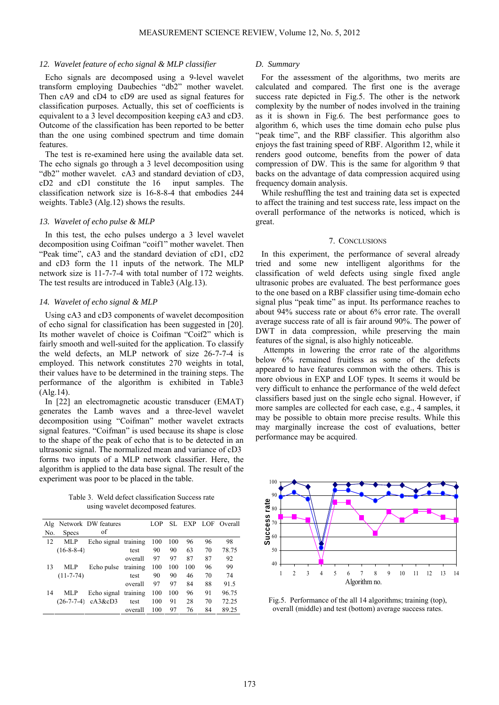## *12. Wavelet feature of echo signal & MLP classifier*

Echo signals are decomposed using a 9-level wavelet transform employing Daubechies "db2" mother wavelet. Then cA9 and cD4 to cD9 are used as signal features for classification purposes. Actually, this set of coefficients is equivalent to a 3 level decomposition keeping cA3 and cD3. Outcome of the classification has been reported to be better than the one using combined spectrum and time domain features.

The test is re-examined here using the available data set. The echo signals go through a 3 level decomposition using "db2" mother wavelet. cA3 and standard deviation of cD3, cD2 and cD1 constitute the 16 input samples. The classification network size is 16-8-8-4 that embodies 244 weights. Table3 (Alg.12) shows the results.

## *13. Wavelet of echo pulse & MLP*

In this test, the echo pulses undergo a 3 level wavelet decomposition using Coifman "coif1" mother wavelet. Then "Peak time", cA3 and the standard deviation of cD1, cD2 and cD3 form the 11 inputs of the network. The MLP network size is 11-7-7-4 with total number of 172 weights. The test results are introduced in Table3 (Alg.13).

#### *14. Wavelet of echo signal & MLP*

Using cA3 and cD3 components of wavelet decomposition of echo signal for classification has been suggested in [20]. Its mother wavelet of choice is Coifman "Coif2" which is fairly smooth and well-suited for the application. To classify the weld defects, an MLP network of size 26-7-7-4 is employed. This network constitutes 270 weights in total, their values have to be determined in the training steps. The performance of the algorithm is exhibited in Table3 (Alg.14).

In [22] an electromagnetic acoustic transducer (EMAT) generates the Lamb waves and a three-level wavelet decomposition using "Coifman" mother wavelet extracts signal features. "Coifman" is used because its shape is close to the shape of the peak of echo that is to be detected in an ultrasonic signal. The normalized mean and variance of cD3 forms two inputs of a MLP network classifier. Here, the algorithm is applied to the data base signal. The result of the experiment was poor to be placed in the table.

Table 3. Weld defect classification Success rate using wavelet decomposed features.

| Alg |                    | Network DW features  |          | LOP | SL. | <b>EXP</b> | LOF | Overall |
|-----|--------------------|----------------------|----------|-----|-----|------------|-----|---------|
| No. | <b>Specs</b>       | οf                   |          |     |     |            |     |         |
| 12  | <b>MLP</b>         | Echo signal training |          | 100 | 100 | 96         | 96  | 98      |
|     | $(16-8-8-4)$       |                      | test     | 90  | 90  | 63         | 70  | 78.75   |
|     |                    |                      | overall  | 97  | 97  | 87         | 87  | 92      |
| 13  | MLP                | Echo pulse           | training | 100 | 100 | 100        | 96  | 99      |
|     | $(11 - 7 - 74)$    |                      | test     | 90  | 90  | 46         | 70  | 74      |
|     |                    |                      | overall  | 97  | 97  | 84         | 88  | 91.5    |
| 14  | MLP                | Echo signal          | training | 100 | 100 | 96         | 91  | 96.75   |
|     | $(26 - 7 - 7 - 4)$ | $cA3\&cD3$           | test     | 100 | 91  | 28         | 70  | 72.25   |
|     |                    |                      | overall  | 100 | 97  | 76         | 84  | 89.25   |

## *D. Summary*

For the assessment of the algorithms, two merits are calculated and compared. The first one is the average success rate depicted in Fig.5. The other is the network complexity by the number of nodes involved in the training as it is shown in Fig.6. The best performance goes to algorithm 6, which uses the time domain echo pulse plus "peak time", and the RBF classifier. This algorithm also enjoys the fast training speed of RBF. Algorithm 12, while it renders good outcome, benefits from the power of data compression of DW. This is the same for algorithm 9 that backs on the advantage of data compression acquired using frequency domain analysis.

While reshuffling the test and training data set is expected to affect the training and test success rate, less impact on the overall performance of the networks is noticed, which is great.

## 7. CONCLUSIONS

In this experiment, the performance of several already tried and some new intelligent algorithms for the classification of weld defects using single fixed angle ultrasonic probes are evaluated. The best performance goes to the one based on a RBF classifier using time-domain echo signal plus "peak time" as input. Its performance reaches to about 94% success rate or about 6% error rate. The overall average success rate of all is fair around 90%. The power of DWT in data compression, while preserving the main features of the signal, is also highly noticeable.

 Attempts in lowering the error rate of the algorithms below 6% remained fruitless as some of the defects appeared to have features common with the others. This is more obvious in EXP and LOF types. It seems it would be very difficult to enhance the performance of the weld defect classifiers based just on the single echo signal. However, if more samples are collected for each case, e.g., 4 samples, it may be possible to obtain more precise results. While this may marginally increase the cost of evaluations, better performance may be acquired.



Fig.5. Performance of the all 14 algorithms; training (top), overall (middle) and test (bottom) average success rates.